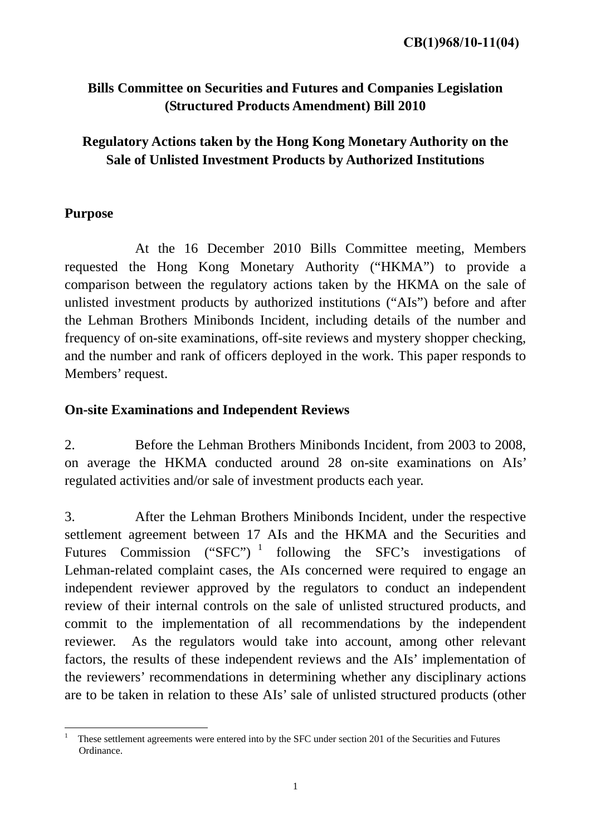# **Bills Committee on Securities and Futures and Companies Legislation (Structured Products Amendment) Bill 2010**

# **Regulatory Actions taken by the Hong Kong Monetary Authority on the Sale of Unlisted Investment Products by Authorized Institutions**

## **Purpose**

 At the 16 December 2010 Bills Committee meeting, Members requested the Hong Kong Monetary Authority ("HKMA") to provide a comparison between the regulatory actions taken by the HKMA on the sale of unlisted investment products by authorized institutions ("AIs") before and after the Lehman Brothers Minibonds Incident, including details of the number and frequency of on-site examinations, off-site reviews and mystery shopper checking, and the number and rank of officers deployed in the work. This paper responds to Members' request.

### **On-site Examinations and Independent Reviews**

2. Before the Lehman Brothers Minibonds Incident, from 2003 to 2008, on average the HKMA conducted around 28 on-site examinations on AIs' regulated activities and/or sale of investment products each year.

3. After the Lehman Brothers Minibonds Incident, under the respective settlement agreement between 17 AIs and the HKMA and the Securities and Futures Commission ("SFC")<sup>1</sup> following the SFC's investigations of Lehman-related complaint cases, the AIs concerned were required to engage an independent reviewer approved by the regulators to conduct an independent review of their internal controls on the sale of unlisted structured products, and commit to the implementation of all recommendations by the independent reviewer. As the regulators would take into account, among other relevant factors, the results of these independent reviews and the AIs' implementation of the reviewers' recommendations in determining whether any disciplinary actions are to be taken in relation to these AIs' sale of unlisted structured products (other

 $\frac{1}{1}$  These settlement agreements were entered into by the SFC under section 201 of the Securities and Futures Ordinance.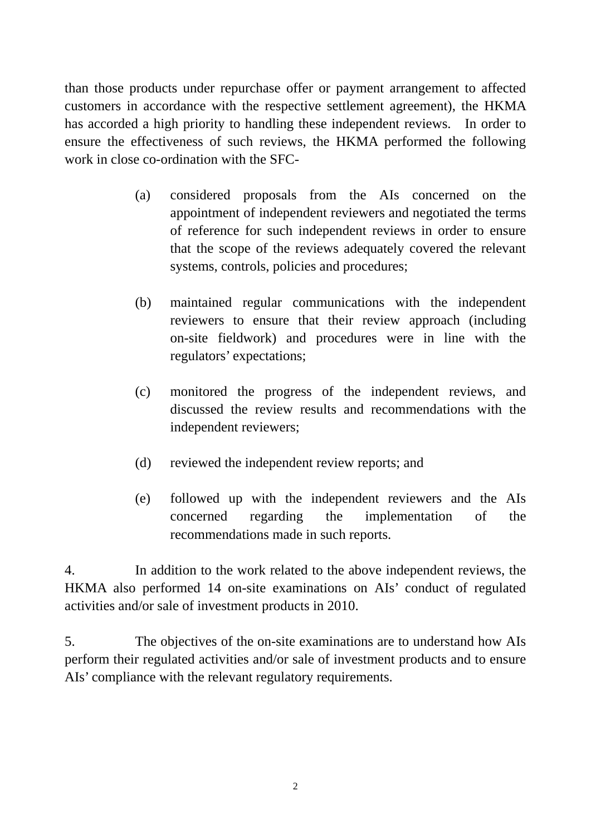than those products under repurchase offer or payment arrangement to affected customers in accordance with the respective settlement agreement), the HKMA has accorded a high priority to handling these independent reviews. In order to ensure the effectiveness of such reviews, the HKMA performed the following work in close co-ordination with the SFC-

- (a) considered proposals from the AIs concerned on the appointment of independent reviewers and negotiated the terms of reference for such independent reviews in order to ensure that the scope of the reviews adequately covered the relevant systems, controls, policies and procedures;
- (b) maintained regular communications with the independent reviewers to ensure that their review approach (including on-site fieldwork) and procedures were in line with the regulators' expectations;
- (c) monitored the progress of the independent reviews, and discussed the review results and recommendations with the independent reviewers;
- (d) reviewed the independent review reports; and
- (e) followed up with the independent reviewers and the AIs concerned regarding the implementation of the recommendations made in such reports.

4. In addition to the work related to the above independent reviews, the HKMA also performed 14 on-site examinations on AIs' conduct of regulated activities and/or sale of investment products in 2010.

5. The objectives of the on-site examinations are to understand how AIs perform their regulated activities and/or sale of investment products and to ensure AIs' compliance with the relevant regulatory requirements.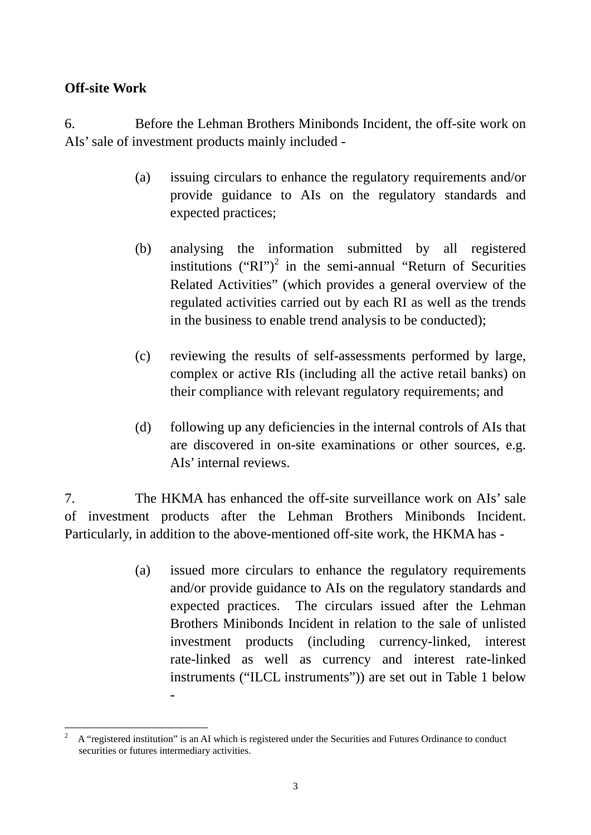## **Off-site Work**

6. Before the Lehman Brothers Minibonds Incident, the off-site work on AIs' sale of investment products mainly included -

- (a) issuing circulars to enhance the regulatory requirements and/or provide guidance to AIs on the regulatory standards and expected practices;
- (b) analysing the information submitted by all registered institutions ("RI")<sup>2</sup> in the semi-annual "Return of Securities Related Activities" (which provides a general overview of the regulated activities carried out by each RI as well as the trends in the business to enable trend analysis to be conducted);
- (c) reviewing the results of self-assessments performed by large, complex or active RIs (including all the active retail banks) on their compliance with relevant regulatory requirements; and
- (d) following up any deficiencies in the internal controls of AIs that are discovered in on-site examinations or other sources, e.g. AIs' internal reviews.

7. The HKMA has enhanced the off-site surveillance work on AIs' sale of investment products after the Lehman Brothers Minibonds Incident. Particularly, in addition to the above-mentioned off-site work, the HKMA has -

> (a) issued more circulars to enhance the regulatory requirements and/or provide guidance to AIs on the regulatory standards and expected practices. The circulars issued after the Lehman Brothers Minibonds Incident in relation to the sale of unlisted investment products (including currency-linked, interest rate-linked as well as currency and interest rate-linked instruments ("ILCL instruments")) are set out in Table 1 below

-

<sup>1</sup> 2 A "registered institution" is an AI which is registered under the Securities and Futures Ordinance to conduct securities or futures intermediary activities.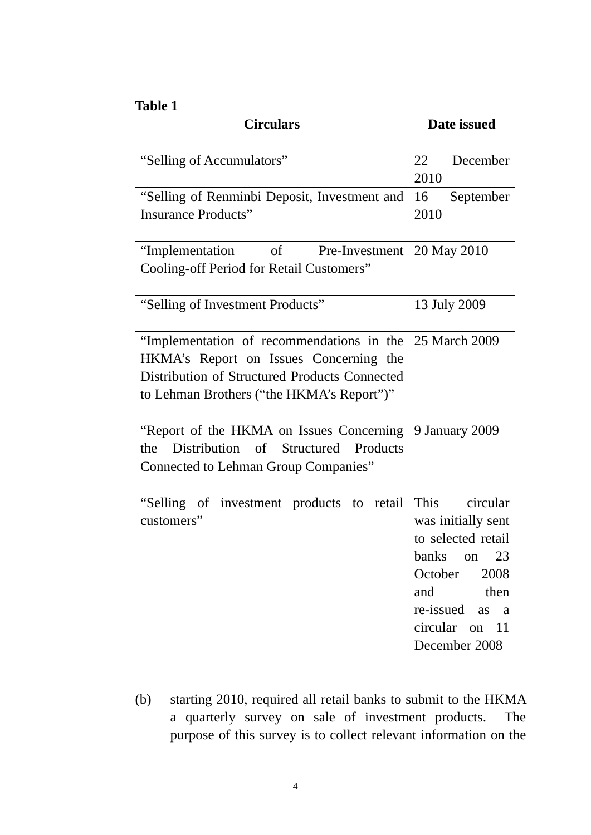#### **Table 1**

| <b>Circulars</b>                                                                                                                                                                  | Date issued                                                                                                                                                     |
|-----------------------------------------------------------------------------------------------------------------------------------------------------------------------------------|-----------------------------------------------------------------------------------------------------------------------------------------------------------------|
| "Selling of Accumulators"                                                                                                                                                         | 22<br>December<br>2010                                                                                                                                          |
| "Selling of Renminbi Deposit, Investment and<br><b>Insurance Products"</b>                                                                                                        | 16<br>September<br>2010                                                                                                                                         |
| "Implementation of Pre-Investment<br><b>Cooling-off Period for Retail Customers"</b>                                                                                              | 20 May 2010                                                                                                                                                     |
| "Selling of Investment Products"                                                                                                                                                  | 13 July 2009                                                                                                                                                    |
| "Implementation of recommendations in the<br>HKMA's Report on Issues Concerning the<br>Distribution of Structured Products Connected<br>to Lehman Brothers ("the HKMA's Report")" | 25 March 2009                                                                                                                                                   |
| "Report of the HKMA on Issues Concerning<br>Distribution of Structured Products<br>the<br><b>Connected to Lehman Group Companies</b> "                                            | 9 January 2009                                                                                                                                                  |
| "Selling of investment products to retail<br>customers"                                                                                                                           | circular<br>This<br>was initially sent<br>to selected retail<br>banks on 23<br>2008<br>October<br>and then<br>re-issued as a<br>circular on 11<br>December 2008 |

(b) starting 2010, required all retail banks to submit to the HKMA a quarterly survey on sale of investment products. The purpose of this survey is to collect relevant information on the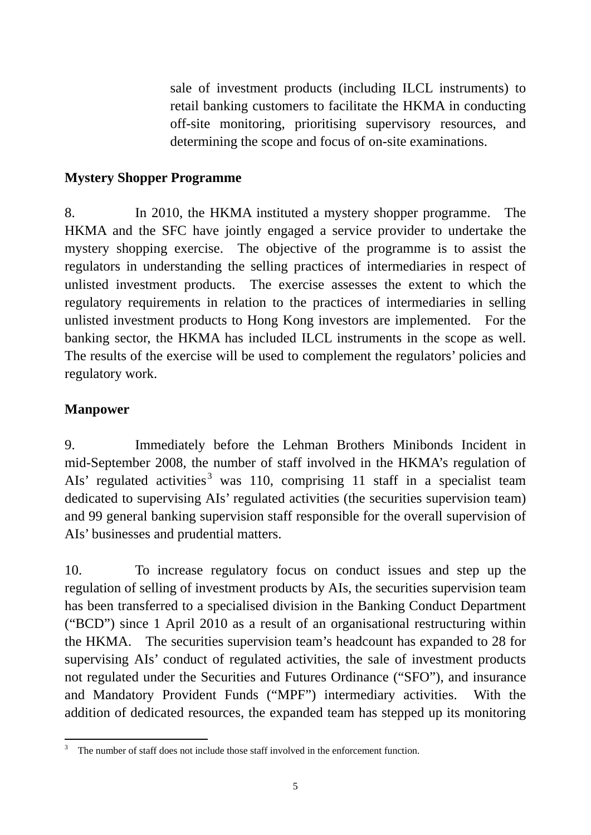sale of investment products (including ILCL instruments) to retail banking customers to facilitate the HKMA in conducting off-site monitoring, prioritising supervisory resources, and determining the scope and focus of on-site examinations.

### **Mystery Shopper Programme**

8. In 2010, the HKMA instituted a mystery shopper programme. The HKMA and the SFC have jointly engaged a service provider to undertake the mystery shopping exercise. The objective of the programme is to assist the regulators in understanding the selling practices of intermediaries in respect of unlisted investment products. The exercise assesses the extent to which the regulatory requirements in relation to the practices of intermediaries in selling unlisted investment products to Hong Kong investors are implemented. For the banking sector, the HKMA has included ILCL instruments in the scope as well. The results of the exercise will be used to complement the regulators' policies and regulatory work.

## **Manpower**

9. Immediately before the Lehman Brothers Minibonds Incident in mid-September 2008, the number of staff involved in the HKMA's regulation of AIs' regulated activities<sup>3</sup> was 110, comprising 11 staff in a specialist team dedicated to supervising AIs' regulated activities (the securities supervision team) and 99 general banking supervision staff responsible for the overall supervision of AIs' businesses and prudential matters.

10. To increase regulatory focus on conduct issues and step up the regulation of selling of investment products by AIs, the securities supervision team has been transferred to a specialised division in the Banking Conduct Department ("BCD") since 1 April 2010 as a result of an organisational restructuring within the HKMA. The securities supervision team's headcount has expanded to 28 for supervising AIs' conduct of regulated activities, the sale of investment products not regulated under the Securities and Futures Ordinance ("SFO"), and insurance and Mandatory Provident Funds ("MPF") intermediary activities. With the addition of dedicated resources, the expanded team has stepped up its monitoring

 $\frac{1}{3}$ The number of staff does not include those staff involved in the enforcement function.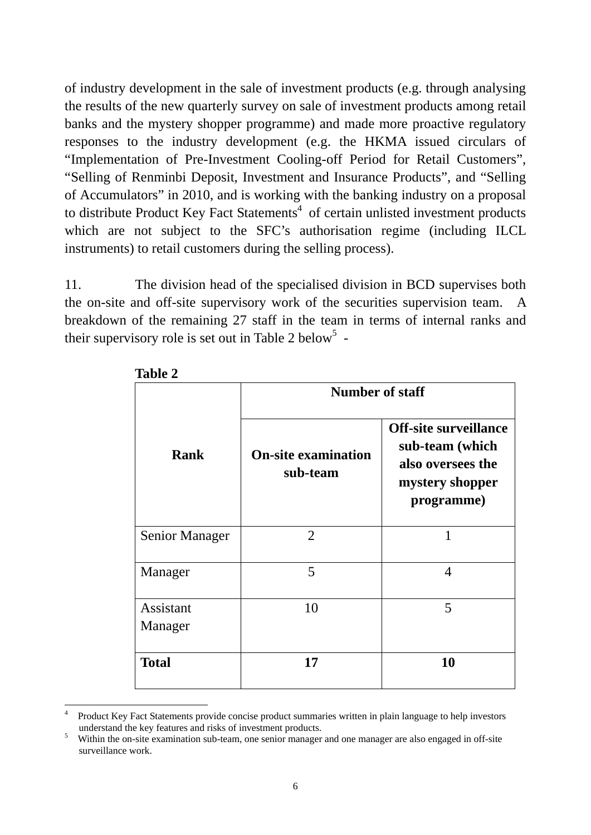of industry development in the sale of investment products (e.g. through analysing the results of the new quarterly survey on sale of investment products among retail banks and the mystery shopper programme) and made more proactive regulatory responses to the industry development (e.g. the HKMA issued circulars of "Implementation of Pre-Investment Cooling-off Period for Retail Customers", "Selling of Renminbi Deposit, Investment and Insurance Products", and "Selling of Accumulators" in 2010, and is working with the banking industry on a proposal to distribute Product Key Fact Statements<sup>4</sup> of certain unlisted investment products which are not subject to the SFC's authorisation regime (including ILCL instruments) to retail customers during the selling process).

11. The division head of the specialised division in BCD supervises both the on-site and off-site supervisory work of the securities supervision team. A breakdown of the remaining 27 staff in the team in terms of internal ranks and their supervisory role is set out in Table 2 below<sup>5</sup> -

|                       | <b>Number of staff</b>                 |                                                                                                       |
|-----------------------|----------------------------------------|-------------------------------------------------------------------------------------------------------|
| <b>Rank</b>           | <b>On-site examination</b><br>sub-team | <b>Off-site surveillance</b><br>sub-team (which<br>also oversees the<br>mystery shopper<br>programme) |
| <b>Senior Manager</b> | 2                                      | 1                                                                                                     |
| Manager               | 5                                      | 4                                                                                                     |
| Assistant<br>Manager  | 10                                     | 5                                                                                                     |
| <b>Total</b>          | 17                                     | 10                                                                                                    |

**Table 2** 

<u>.</u>

<sup>4</sup> Product Key Fact Statements provide concise product summaries written in plain language to help investors understand the key features and risks of investment products.

Within the on-site examination sub-team, one senior manager and one manager are also engaged in off-site surveillance work.